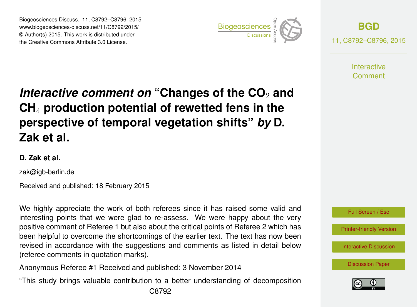Biogeosciences Discuss., 11, C8792–C8796, 2015 www.biogeosciences-discuss.net/11/C8792/2015/ © Author(s) 2015. This work is distributed under Biogeosciences Discuss., 11, C8792–C8796, 2015<br>www.biogeosciences-discuss.net/11/C8792/2015/<br>© Author(s) 2015. This work is distributed under<br>the Creative Commons Attribute 3.0 License.



**[BGD](http://www.biogeosciences-discuss.net)** 11, C8792–C8796, 2015

> **Interactive** Comment

# *Interactive comment on* "Changes of the CO<sub>2</sub> and **CH**<sup>4</sup> **production potential of rewetted fens in the perspective of temporal vegetation shifts"** *by* **D. Zak et al.**

### **D. Zak et al.**

zak@igb-berlin.de

Received and published: 18 February 2015

We highly appreciate the work of both referees since it has raised some valid and interesting points that we were glad to re-assess. We were happy about the very positive comment of Referee 1 but also about the critical points of Referee 2 which has been helpful to overcome the shortcomings of the earlier text. The text has now been revised in accordance with the suggestions and comments as listed in detail below (referee comments in quotation marks).

Anonymous Referee #1 Received and published: 3 November 2014

"This study brings valuable contribution to a better understanding of decomposition



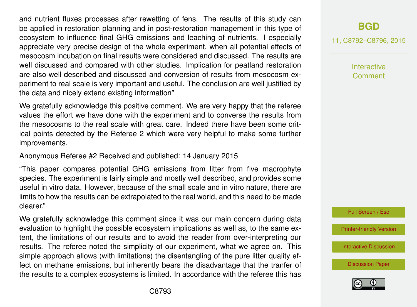and nutrient fluxes processes after rewetting of fens. The results of this study can be applied in restoration planning and in post-restoration management in this type of ecosystem to influence final GHG emissions and leaching of nutrients. I especially appreciate very precise design of the whole experiment, when all potential effects of mesocosm incubation on final results were considered and discussed. The results are well discussed and compared with other studies. Implication for peatland restoration are also well described and discussed and conversion of results from mesocosm experiment to real scale is very important and useful. The conclusion are well justified by the data and nicely extend existing information"

We gratefully acknowledge this positive comment. We are very happy that the referee values the effort we have done with the experiment and to converse the results from the mesocosms to the real scale with great care. Indeed there have been some critical points detected by the Referee 2 which were very helpful to make some further improvements.

Anonymous Referee #2 Received and published: 14 January 2015

"This paper compares potential GHG emissions from litter from five macrophyte species. The experiment is fairly simple and mostly well described, and provides some useful in vitro data. However, because of the small scale and in vitro nature, there are limits to how the results can be extrapolated to the real world, and this need to be made clearer."

We gratefully acknowledge this comment since it was our main concern during data evaluation to highlight the possible ecosystem implications as well as, to the same extent, the limitations of our results and to avoid the reader from over-interpreting our results. The referee noted the simplicity of our experiment, what we agree on. This simple approach allows (with limitations) the disentangling of the pure litter quality effect on methane emissions, but inherently bears the disadvantage that the tranfer of the results to a complex ecosystems is limited. In accordance with the referee this has

## **[BGD](http://www.biogeosciences-discuss.net)**

11, C8792–C8796, 2015

Interactive Comment



[Printer-friendly Version](http://www.biogeosciences-discuss.net/11/C8792/2015/bgd-11-C8792-2015-print.pdf)

[Interactive Discussion](http://www.biogeosciences-discuss.net/11/14453/2014/bgd-11-14453-2014-discussion.html)

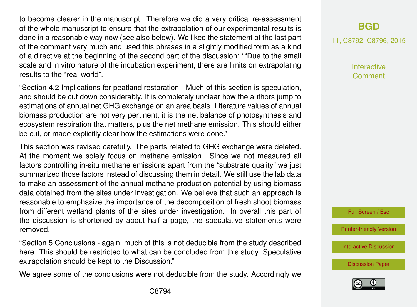to become clearer in the manuscript. Therefore we did a very critical re-assessment of the whole manuscript to ensure that the extrapolation of our experimental results is done in a reasonable way now (see also below). We liked the statement of the last part of the comment very much and used this phrases in a slightly modified form as a kind of a directive at the beginning of the second part of the discussion: ""Due to the small scale and in vitro nature of the incubation experiment, there are limits on extrapolating results to the "real world".

"Section 4.2 Implications for peatland restoration - Much of this section is speculation, and should be cut down considerably. It is completely unclear how the authors jump to estimations of annual net GHG exchange on an area basis. Literature values of annual biomass production are not very pertinent; it is the net balance of photosynthesis and ecosystem respiration that matters, plus the net methane emission. This should either be cut, or made explicitly clear how the estimations were done."

This section was revised carefully. The parts related to GHG exchange were deleted. At the moment we solely focus on methane emission. Since we not measured all factors controlling in-situ methane emissions apart from the "substrate quality" we just summarized those factors instead of discussing them in detail. We still use the lab data to make an assessment of the annual methane production potential by using biomass data obtained from the sites under investigation. We believe that such an approach is reasonable to emphasize the importance of the decomposition of fresh shoot biomass from different wetland plants of the sites under investigation. In overall this part of the discussion is shortened by about half a page, the speculative statements were removed.

"Section 5 Conclusions - again, much of this is not deducible from the study described here. This should be restricted to what can be concluded from this study. Speculative extrapolation should be kept to the Discussion."

We agree some of the conclusions were not deducible from the study. Accordingly we

## **[BGD](http://www.biogeosciences-discuss.net)**

11, C8792–C8796, 2015

**Interactive** Comment



[Printer-friendly Version](http://www.biogeosciences-discuss.net/11/C8792/2015/bgd-11-C8792-2015-print.pdf)

[Interactive Discussion](http://www.biogeosciences-discuss.net/11/14453/2014/bgd-11-14453-2014-discussion.html)

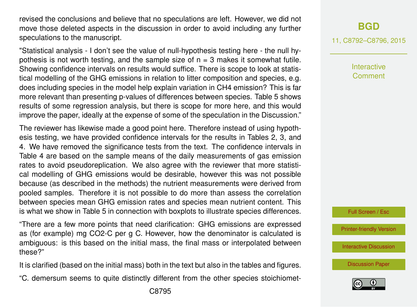revised the conclusions and believe that no speculations are left. However, we did not move those deleted aspects in the discussion in order to avoid including any further speculations to the manuscript.

"Statistical analysis - I don't see the value of null-hypothesis testing here - the null hypothesis is not worth testing, and the sample size of  $n = 3$  makes it somewhat futile. Showing confidence intervals on results would suffice. There is scope to look at statistical modelling of the GHG emissions in relation to litter composition and species, e.g. does including species in the model help explain variation in CH4 emission? This is far more relevant than presenting p-values of differences between species. Table 5 shows results of some regression analysis, but there is scope for more here, and this would improve the paper, ideally at the expense of some of the speculation in the Discussion."

The reviewer has likewise made a good point here. Therefore instead of using hypothesis testing, we have provided confidence intervals for the results in Tables 2, 3, and 4. We have removed the significance tests from the text. The confidence intervals in Table 4 are based on the sample means of the daily measurements of gas emission rates to avoid pseudoreplication. We also agree with the reviewer that more statistical modelling of GHG emissions would be desirable, however this was not possible because (as described in the methods) the nutrient measurements were derived from pooled samples. Therefore it is not possible to do more than assess the correlation between species mean GHG emission rates and species mean nutrient content. This is what we show in Table 5 in connection with boxplots to illustrate species differences.

"There are a few more points that need clarification: GHG emissions are expressed as (for example) mg CO2-C per g C. However, how the denominator is calculated is ambiguous: is this based on the initial mass, the final mass or interpolated between these?"

It is clarified (based on the initial mass) both in the text but also in the tables and figures.

"C. demersum seems to quite distinctly different from the other species stoichiomet-

11, C8792–C8796, 2015

Interactive Comment

Full Screen / Esc

[Printer-friendly Version](http://www.biogeosciences-discuss.net/11/C8792/2015/bgd-11-C8792-2015-print.pdf)

[Interactive Discussion](http://www.biogeosciences-discuss.net/11/14453/2014/bgd-11-14453-2014-discussion.html)